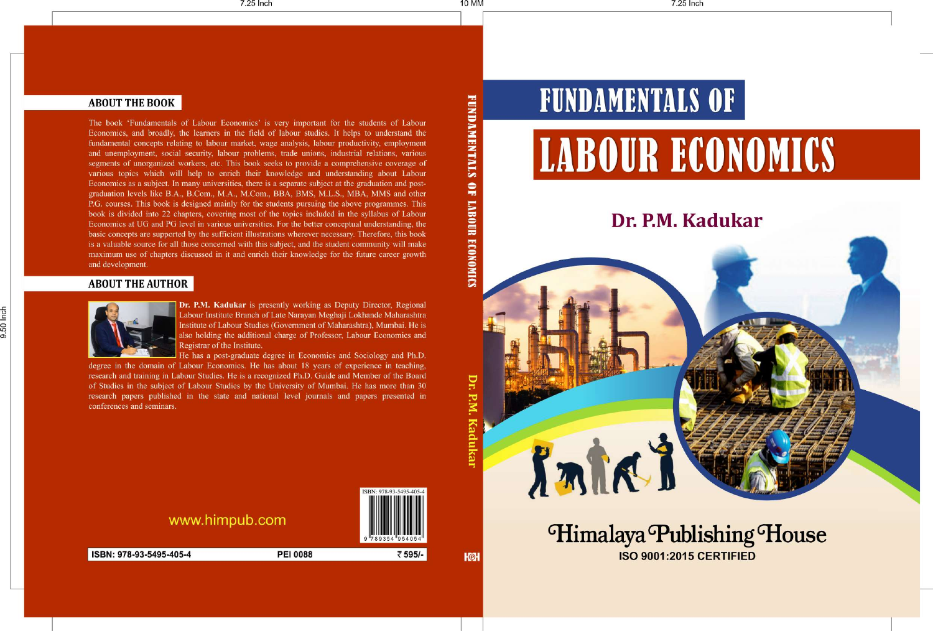# **FUNDAMENTALS OF**

# LABOUR ECONOMICS

Dr. P.M. Kadukar



### Himalaya Publishing House **ISO 9001:2015 CERTIFIED**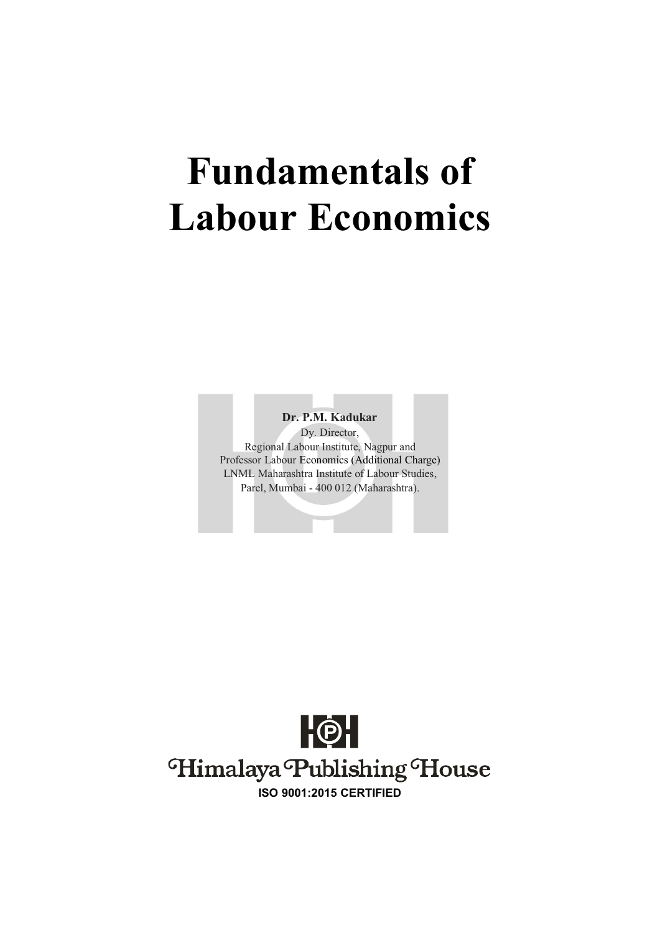**Dr. P.M. Kadukar** Dy. Director, Regional Labour Institute, Nagpur and Professor Labour Economics (Additional Charge) LNML Maharashtra Institute of Labour Studies, Parel, Mumbai - 400 012 (Maharashtra).

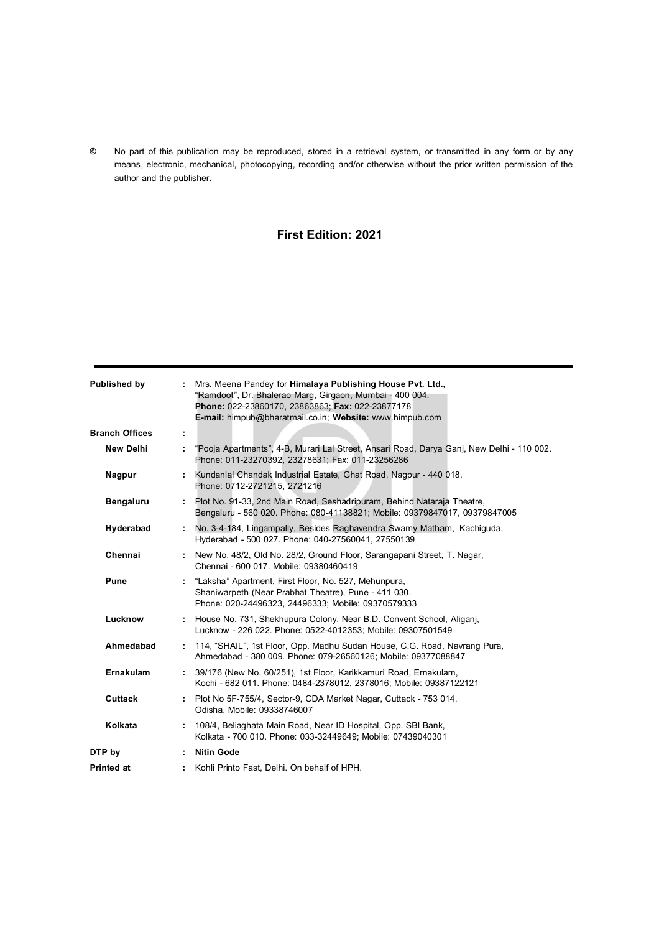**©** No part of this publication may be reproduced, stored in a retrieval system, or transmitted in any form or by any means, electronic, mechanical, photocopying, recording and/or otherwise without the prior written permission of the author and the publisher.

#### **First Edition: 2021**

| Published by          | Mrs. Meena Pandey for Himalaya Publishing House Pvt. Ltd.,<br>"Ramdoot", Dr. Bhalerao Marg, Girgaon, Mumbai - 400 004.<br>Phone: 022-23860170, 23863863; Fax: 022-23877178<br>E-mail: himpub@bharatmail.co.in; Website: www.himpub.com |
|-----------------------|----------------------------------------------------------------------------------------------------------------------------------------------------------------------------------------------------------------------------------------|
| <b>Branch Offices</b> | ÷                                                                                                                                                                                                                                      |
| <b>New Delhi</b>      | "Pooja Apartments", 4-B, Murari Lal Street, Ansari Road, Darya Ganj, New Delhi - 110 002.<br>Phone: 011-23270392, 23278631; Fax: 011-23256286                                                                                          |
| Nagpur                | : Kundanlal Chandak Industrial Estate, Ghat Road, Nagpur - 440 018.<br>Phone: 0712-2721215, 2721216                                                                                                                                    |
| Bengaluru             | Plot No. 91-33, 2nd Main Road, Seshadripuram, Behind Nataraja Theatre,<br>t.<br>Bengaluru - 560 020. Phone: 080-41138821; Mobile: 09379847017, 09379847005                                                                             |
| Hyderabad             | No. 3-4-184, Lingampally, Besides Raghavendra Swamy Matham, Kachiguda,<br>$\mathbf{L}$<br>Hyderabad - 500 027. Phone: 040-27560041, 27550139                                                                                           |
| Chennai               | : New No. 48/2, Old No. 28/2, Ground Floor, Sarangapani Street, T. Nagar,<br>Chennai - 600 017. Mobile: 09380460419                                                                                                                    |
| Pune                  | : "Laksha" Apartment, First Floor, No. 527, Mehunpura,<br>Shaniwarpeth (Near Prabhat Theatre), Pune - 411 030.<br>Phone: 020-24496323, 24496333; Mobile: 09370579333                                                                   |
| Lucknow               | : House No. 731, Shekhupura Colony, Near B.D. Convent School, Aliganj,<br>Lucknow - 226 022. Phone: 0522-4012353; Mobile: 09307501549                                                                                                  |
| Ahmedabad             | 114, "SHAIL", 1st Floor, Opp. Madhu Sudan House, C.G. Road, Navrang Pura,<br>Ahmedabad - 380 009. Phone: 079-26560126; Mobile: 09377088847                                                                                             |
| <b>Ernakulam</b>      | 39/176 (New No. 60/251), 1st Floor, Karikkamuri Road, Ernakulam,<br>$\mathbf{r}$<br>Kochi - 682 011. Phone: 0484-2378012, 2378016; Mobile: 09387122121                                                                                 |
| <b>Cuttack</b>        | Plot No 5F-755/4, Sector-9, CDA Market Nagar, Cuttack - 753 014,<br>Odisha, Mobile: 09338746007                                                                                                                                        |
| Kolkata               | 108/4, Beliaghata Main Road, Near ID Hospital, Opp. SBI Bank,<br>÷.<br>Kolkata - 700 010. Phone: 033-32449649; Mobile: 07439040301                                                                                                     |
| DTP by                | <b>Nitin Gode</b><br>t.                                                                                                                                                                                                                |
| <b>Printed at</b>     | Kohli Printo Fast, Delhi. On behalf of HPH.                                                                                                                                                                                            |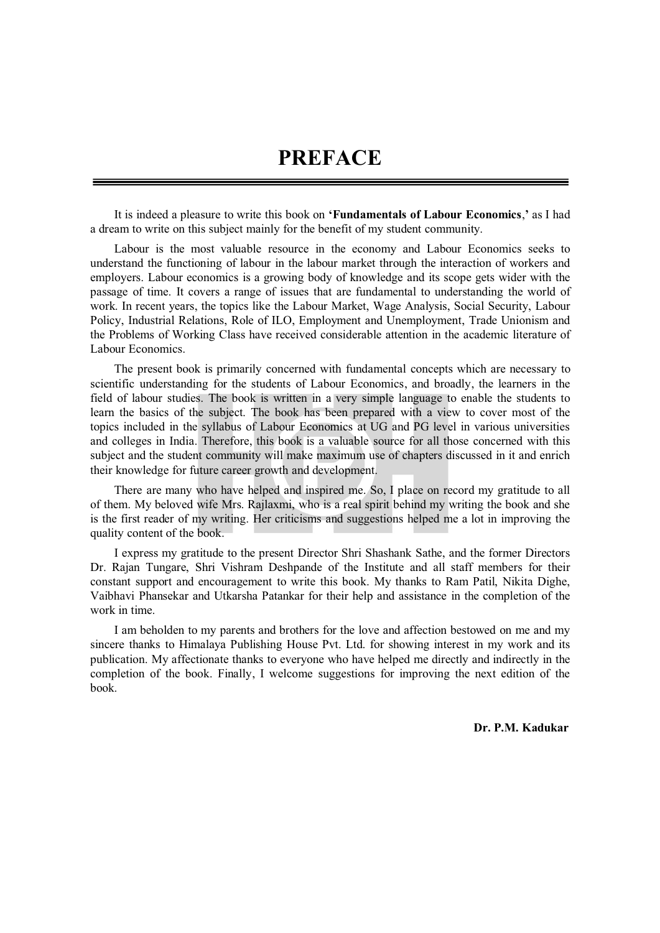It is indeed a pleasure to write this book on **'Fundamentals of Labour Economics**,**'** as I had a dream to write on this subject mainly for the benefit of my student community.

Labour is the most valuable resource in the economy and Labour Economics seeks to understand the functioning of labour in the labour market through the interaction of workers and employers. Labour economics is a growing body of knowledge and its scope gets wider with the passage of time. It covers a range of issues that are fundamental to understanding the world of work. In recent years, the topics like the Labour Market, Wage Analysis, Social Security, Labour Policy, Industrial Relations, Role of ILO, Employment and Unemployment, Trade Unionism and the Problems of Working Class have received considerable attention in the academic literature of Labour Economics.

The present book is primarily concerned with fundamental concepts which are necessary to scientific understanding for the students of Labour Economics, and broadly, the learners in the field of labour studies. The book is written in a very simple language to enable the students to learn the basics of the subject. The book has been prepared with a view to cover most of the topics included in the syllabus of Labour Economics at UG and PG level in various universities and colleges in India. Therefore, this book is a valuable source for all those concerned with this subject and the student community will make maximum use of chapters discussed in it and enrich their knowledge for future career growth and development.

There are many who have helped and inspired me. So, I place on record my gratitude to all of them. My beloved wife Mrs. Rajlaxmi, who is a real spirit behind my writing the book and she is the first reader of my writing. Her criticisms and suggestions helped me a lot in improving the quality content of the book.

I express my gratitude to the present Director Shri Shashank Sathe, and the former Directors Dr. Rajan Tungare, Shri Vishram Deshpande of the Institute and all staff members for their constant support and encouragement to write this book. My thanks to Ram Patil, Nikita Dighe, Vaibhavi Phansekar and Utkarsha Patankar for their help and assistance in the completion of the work in time.

I am beholden to my parents and brothers for the love and affection bestowed on me and my sincere thanks to Himalaya Publishing House Pvt. Ltd. for showing interest in my work and its publication. My affectionate thanks to everyone who have helped me directly and indirectly in the completion of the book. Finally, I welcome suggestions for improving the next edition of the book.

**Dr. P.M. Kadukar**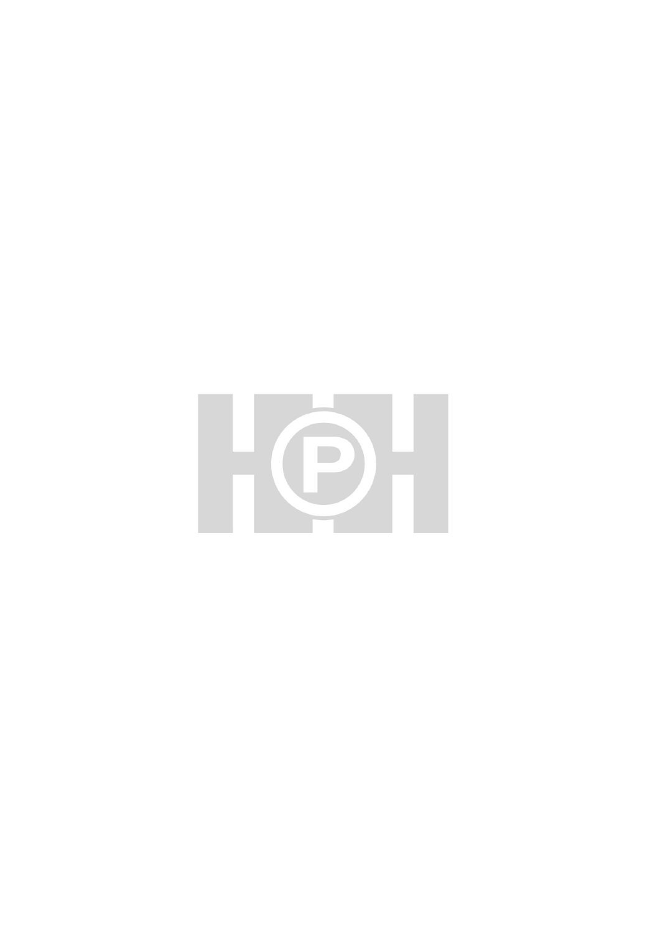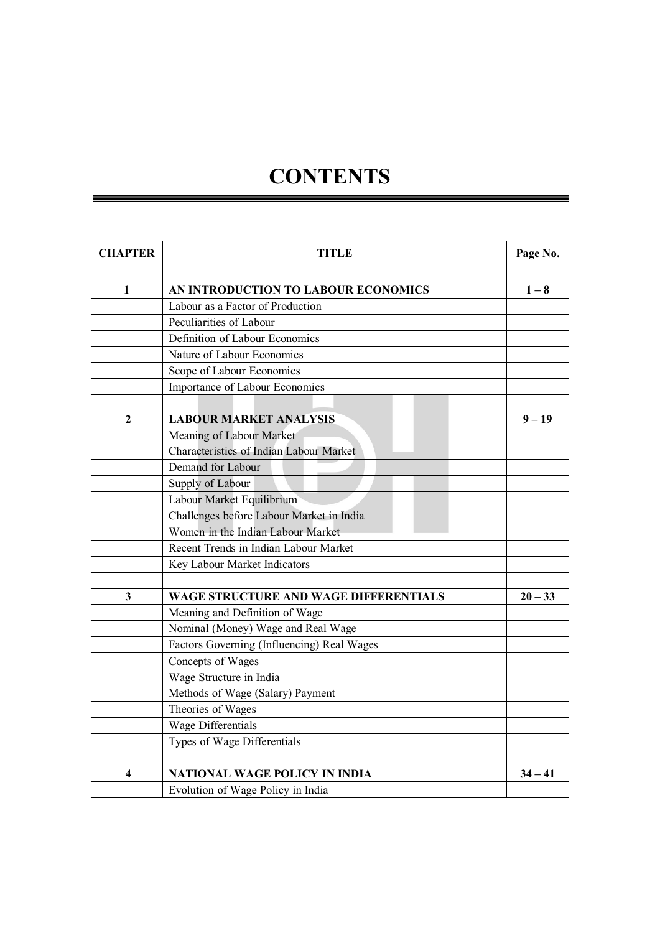### **CONTENTS**

=

ĭ

| <b>CHAPTER</b> | <b>TITLE</b>                                 | Page No.  |
|----------------|----------------------------------------------|-----------|
|                |                                              |           |
| $\mathbf{1}$   | AN INTRODUCTION TO LABOUR ECONOMICS          | $1-8$     |
|                | Labour as a Factor of Production             |           |
|                | Peculiarities of Labour                      |           |
|                | Definition of Labour Economics               |           |
|                | Nature of Labour Economics                   |           |
|                | Scope of Labour Economics                    |           |
|                | Importance of Labour Economics               |           |
|                |                                              |           |
| $\overline{2}$ | <b>LABOUR MARKET ANALYSIS</b>                | $9 - 19$  |
|                | Meaning of Labour Market                     |           |
|                | Characteristics of Indian Labour Market      |           |
|                | Demand for Labour                            |           |
|                | Supply of Labour                             |           |
|                | Labour Market Equilibrium                    |           |
|                | Challenges before Labour Market in India     |           |
|                | Women in the Indian Labour Market            |           |
|                | Recent Trends in Indian Labour Market        |           |
|                | Key Labour Market Indicators                 |           |
|                |                                              |           |
| $\mathbf{3}$   | <b>WAGE STRUCTURE AND WAGE DIFFERENTIALS</b> | $20 - 33$ |
|                | Meaning and Definition of Wage               |           |
|                | Nominal (Money) Wage and Real Wage           |           |
|                | Factors Governing (Influencing) Real Wages   |           |
|                | Concepts of Wages                            |           |
|                | Wage Structure in India                      |           |
|                | Methods of Wage (Salary) Payment             |           |
|                | Theories of Wages                            |           |
|                | <b>Wage Differentials</b>                    |           |
|                | Types of Wage Differentials                  |           |
|                |                                              |           |
| 4              | <b>NATIONAL WAGE POLICY IN INDIA</b>         | $34 - 41$ |
|                | Evolution of Wage Policy in India            |           |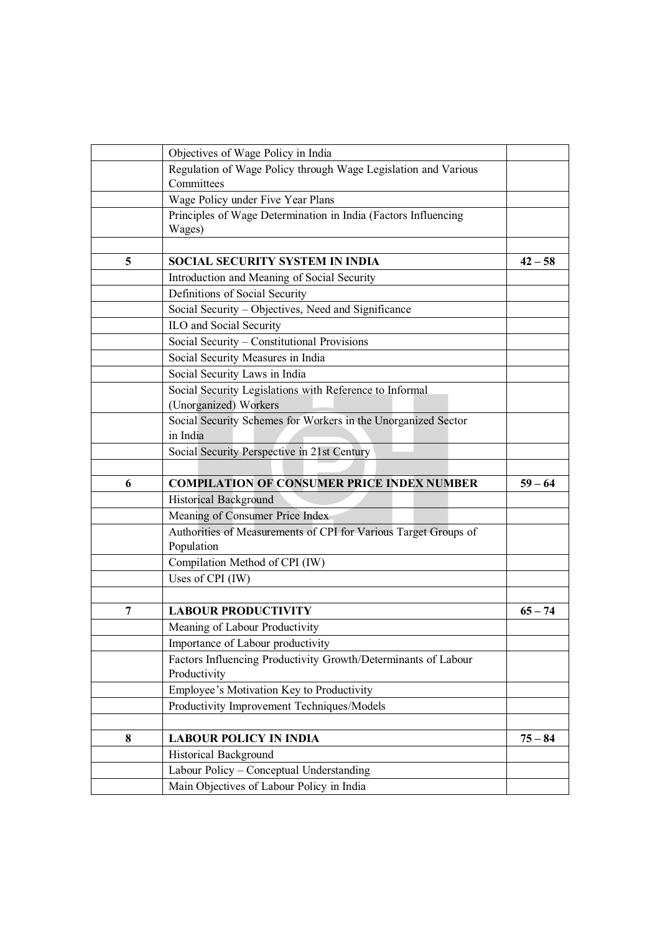|                | Objectives of Wage Policy in India                              |           |
|----------------|-----------------------------------------------------------------|-----------|
|                | Regulation of Wage Policy through Wage Legislation and Various  |           |
|                | Committees                                                      |           |
|                | Wage Policy under Five Year Plans                               |           |
|                | Principles of Wage Determination in India (Factors Influencing  |           |
|                | Wages)                                                          |           |
|                |                                                                 |           |
| 5              | SOCIAL SECURITY SYSTEM IN INDIA                                 | $42 - 58$ |
|                | Introduction and Meaning of Social Security                     |           |
|                | Definitions of Social Security                                  |           |
|                | Social Security - Objectives, Need and Significance             |           |
|                | ILO and Social Security                                         |           |
|                | Social Security - Constitutional Provisions                     |           |
|                | Social Security Measures in India                               |           |
|                | Social Security Laws in India                                   |           |
|                | Social Security Legislations with Reference to Informal         |           |
|                | (Unorganized) Workers                                           |           |
|                | Social Security Schemes for Workers in the Unorganized Sector   |           |
|                | in India                                                        |           |
|                | Social Security Perspective in 21st Century                     |           |
|                |                                                                 |           |
| 6              | <b>COMPILATION OF CONSUMER PRICE INDEX NUMBER</b>               | $59 - 64$ |
|                | <b>Historical Background</b>                                    |           |
|                | Meaning of Consumer Price Index                                 |           |
|                | Authorities of Measurements of CPI for Various Target Groups of |           |
|                | Population                                                      |           |
|                | Compilation Method of CPI (IW)                                  |           |
|                | Uses of CPI (IW)                                                |           |
|                |                                                                 |           |
| $\overline{7}$ | <b>LABOUR PRODUCTIVITY</b>                                      | $65 - 74$ |
|                | Meaning of Labour Productivity                                  |           |
|                | Importance of Labour productivity                               |           |
|                | Factors Influencing Productivity Growth/Determinants of Labour  |           |
|                | Productivity                                                    |           |
|                | Employee's Motivation Key to Productivity                       |           |
|                | Productivity Improvement Techniques/Models                      |           |
|                |                                                                 |           |
| 8              | <b>LABOUR POLICY IN INDIA</b>                                   | $75 - 84$ |
|                | Historical Background                                           |           |
|                | Labour Policy - Conceptual Understanding                        |           |
|                | Main Objectives of Labour Policy in India                       |           |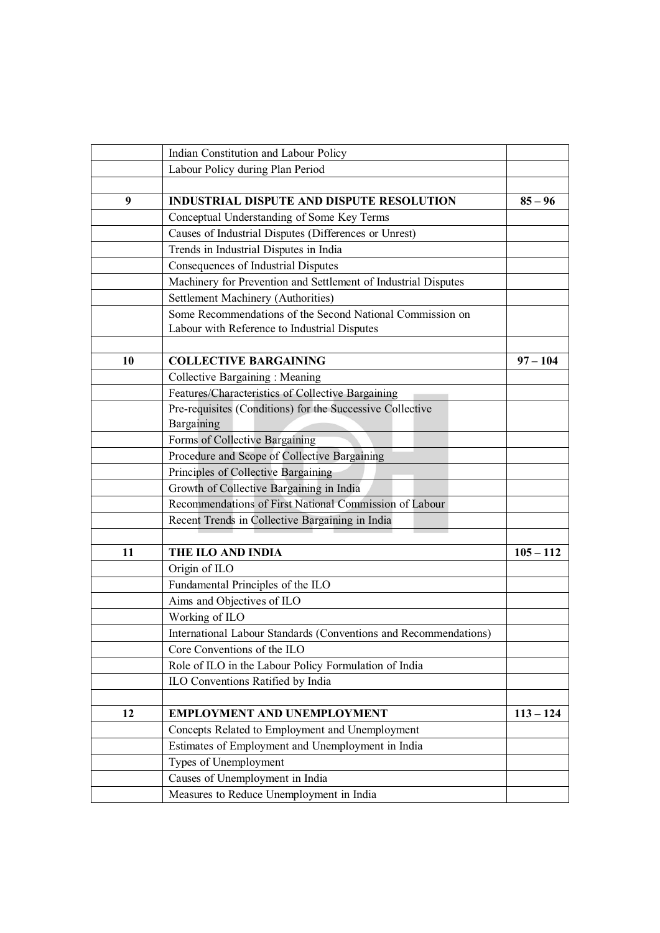|    | Indian Constitution and Labour Policy                                   |             |
|----|-------------------------------------------------------------------------|-------------|
|    | Labour Policy during Plan Period                                        |             |
|    |                                                                         |             |
| 9  | <b>INDUSTRIAL DISPUTE AND DISPUTE RESOLUTION</b>                        | $85 - 96$   |
|    | Conceptual Understanding of Some Key Terms                              |             |
|    | Causes of Industrial Disputes (Differences or Unrest)                   |             |
|    | Trends in Industrial Disputes in India                                  |             |
|    | Consequences of Industrial Disputes                                     |             |
|    | Machinery for Prevention and Settlement of Industrial Disputes          |             |
|    | Settlement Machinery (Authorities)                                      |             |
|    | Some Recommendations of the Second National Commission on               |             |
|    | Labour with Reference to Industrial Disputes                            |             |
|    |                                                                         |             |
| 10 | <b>COLLECTIVE BARGAINING</b>                                            | $97 - 104$  |
|    | <b>Collective Bargaining: Meaning</b>                                   |             |
|    | Features/Characteristics of Collective Bargaining                       |             |
|    | Pre-requisites (Conditions) for the Successive Collective<br>Bargaining |             |
|    | Forms of Collective Bargaining                                          |             |
|    | Procedure and Scope of Collective Bargaining                            |             |
|    | Principles of Collective Bargaining                                     |             |
|    | Growth of Collective Bargaining in India                                |             |
|    | Recommendations of First National Commission of Labour                  |             |
|    | Recent Trends in Collective Bargaining in India                         |             |
|    |                                                                         |             |
| 11 | THE ILO AND INDIA                                                       | $105 - 112$ |
|    | Origin of ILO                                                           |             |
|    | Fundamental Principles of the ILO                                       |             |
|    | Aims and Objectives of ILO                                              |             |
|    | Working of ILO                                                          |             |
|    | International Labour Standards (Conventions and Recommendations)        |             |
|    | Core Conventions of the ILO                                             |             |
|    | Role of ILO in the Labour Policy Formulation of India                   |             |
|    | ILO Conventions Ratified by India                                       |             |
|    |                                                                         |             |
| 12 | <b>EMPLOYMENT AND UNEMPLOYMENT</b>                                      | $113 - 124$ |
|    | Concepts Related to Employment and Unemployment                         |             |
|    | Estimates of Employment and Unemployment in India                       |             |
|    | Types of Unemployment                                                   |             |
|    | Causes of Unemployment in India                                         |             |
|    | Measures to Reduce Unemployment in India                                |             |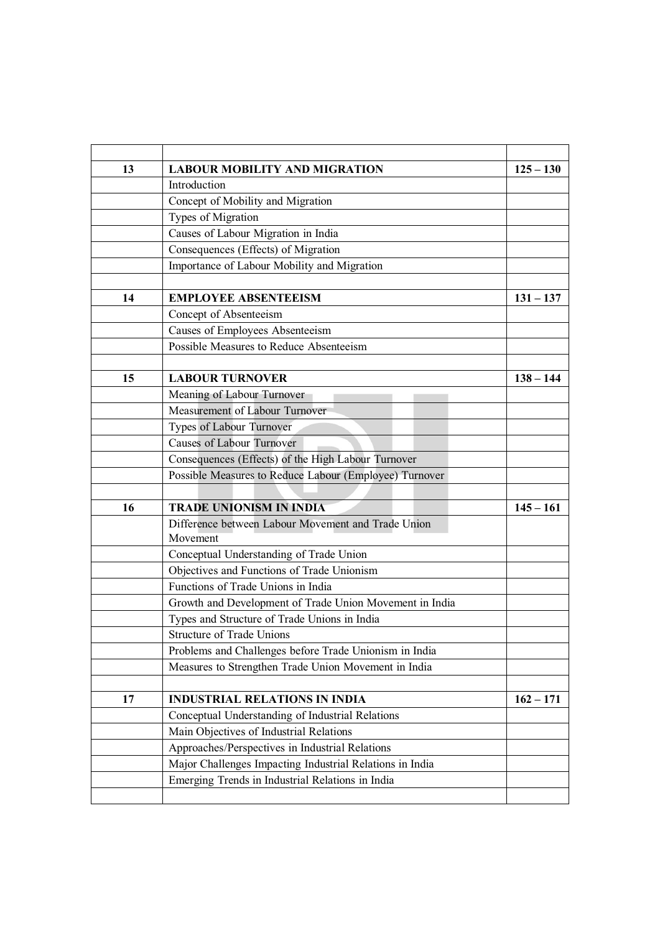| 13 | <b>LABOUR MOBILITY AND MIGRATION</b>                     | $125 - 130$ |
|----|----------------------------------------------------------|-------------|
|    | Introduction                                             |             |
|    | Concept of Mobility and Migration                        |             |
|    | Types of Migration                                       |             |
|    | Causes of Labour Migration in India                      |             |
|    | Consequences (Effects) of Migration                      |             |
|    | Importance of Labour Mobility and Migration              |             |
| 14 | <b>EMPLOYEE ABSENTEEISM</b>                              | $131 - 137$ |
|    | Concept of Absenteeism                                   |             |
|    | Causes of Employees Absenteeism                          |             |
|    | Possible Measures to Reduce Absenteeism                  |             |
|    |                                                          |             |
| 15 | <b>LABOUR TURNOVER</b>                                   | $138 - 144$ |
|    | Meaning of Labour Turnover                               |             |
|    | Measurement of Labour Turnover                           |             |
|    | Types of Labour Turnover                                 |             |
|    | <b>Causes of Labour Turnover</b>                         |             |
|    | Consequences (Effects) of the High Labour Turnover       |             |
|    | Possible Measures to Reduce Labour (Employee) Turnover   |             |
|    |                                                          |             |
| 16 | <b>TRADE UNIONISM IN INDIA</b>                           | $145 - 161$ |
|    | Difference between Labour Movement and Trade Union       |             |
|    | Movement                                                 |             |
|    | Conceptual Understanding of Trade Union                  |             |
|    | Objectives and Functions of Trade Unionism               |             |
|    | Functions of Trade Unions in India                       |             |
|    | Growth and Development of Trade Union Movement in India  |             |
|    | Types and Structure of Trade Unions in India             |             |
|    | <b>Structure of Trade Unions</b>                         |             |
|    | Problems and Challenges before Trade Unionism in India   |             |
|    | Measures to Strengthen Trade Union Movement in India     |             |
| 17 | <b>INDUSTRIAL RELATIONS IN INDIA</b>                     | $162 - 171$ |
|    | Conceptual Understanding of Industrial Relations         |             |
|    | Main Objectives of Industrial Relations                  |             |
|    | Approaches/Perspectives in Industrial Relations          |             |
|    | Major Challenges Impacting Industrial Relations in India |             |
|    | Emerging Trends in Industrial Relations in India         |             |
|    |                                                          |             |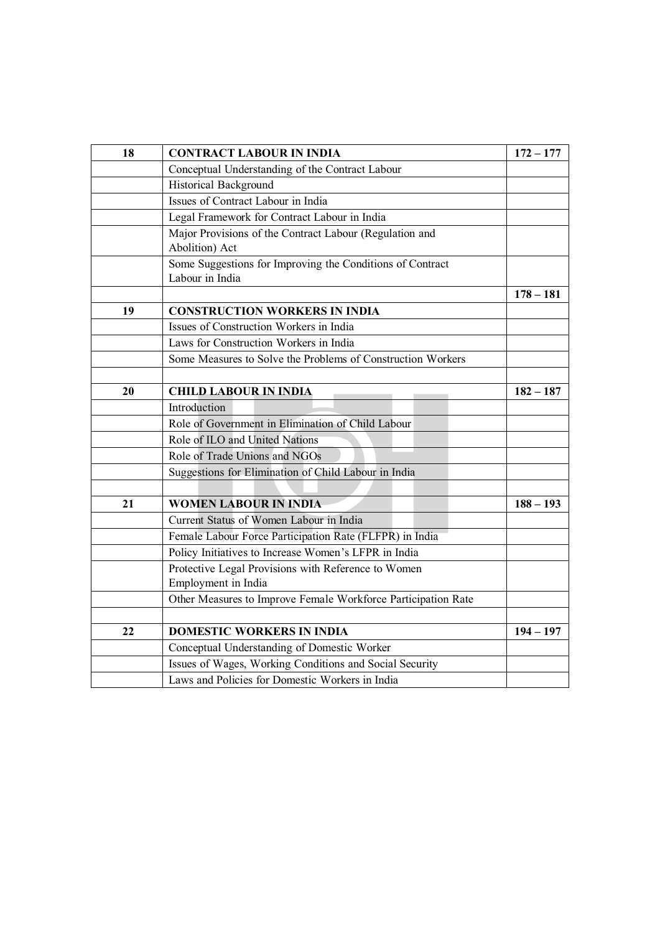| 18 | <b>CONTRACT LABOUR IN INDIA</b>                                                                            | $172 - 177$ |
|----|------------------------------------------------------------------------------------------------------------|-------------|
|    | Conceptual Understanding of the Contract Labour                                                            |             |
|    | Historical Background                                                                                      |             |
|    | Issues of Contract Labour in India                                                                         |             |
|    | Legal Framework for Contract Labour in India                                                               |             |
|    | Major Provisions of the Contract Labour (Regulation and<br>Abolition) Act                                  |             |
|    | Some Suggestions for Improving the Conditions of Contract<br>Labour in India                               |             |
|    |                                                                                                            | $178 - 181$ |
| 19 | <b>CONSTRUCTION WORKERS IN INDIA</b>                                                                       |             |
|    | Issues of Construction Workers in India                                                                    |             |
|    | Laws for Construction Workers in India                                                                     |             |
|    | Some Measures to Solve the Problems of Construction Workers                                                |             |
| 20 | <b>CHILD LABOUR IN INDIA</b>                                                                               | $182 - 187$ |
|    | Introduction                                                                                               |             |
|    | Role of Government in Elimination of Child Labour                                                          |             |
|    | Role of ILO and United Nations                                                                             |             |
|    | Role of Trade Unions and NGOs                                                                              |             |
|    | Suggestions for Elimination of Child Labour in India                                                       |             |
|    |                                                                                                            |             |
| 21 | <b>WOMEN LABOUR IN INDIA</b>                                                                               | $188 - 193$ |
|    | Current Status of Women Labour in India                                                                    |             |
|    | Female Labour Force Participation Rate (FLFPR) in India                                                    |             |
|    | Policy Initiatives to Increase Women's LFPR in India                                                       |             |
|    | Protective Legal Provisions with Reference to Women                                                        |             |
|    | Employment in India                                                                                        |             |
|    | Other Measures to Improve Female Workforce Participation Rate                                              |             |
|    |                                                                                                            |             |
| 22 | <b>DOMESTIC WORKERS IN INDIA</b>                                                                           | $194 - 197$ |
|    | Conceptual Understanding of Domestic Worker                                                                |             |
|    | Issues of Wages, Working Conditions and Social Security<br>Laws and Policies for Domestic Workers in India |             |
|    |                                                                                                            |             |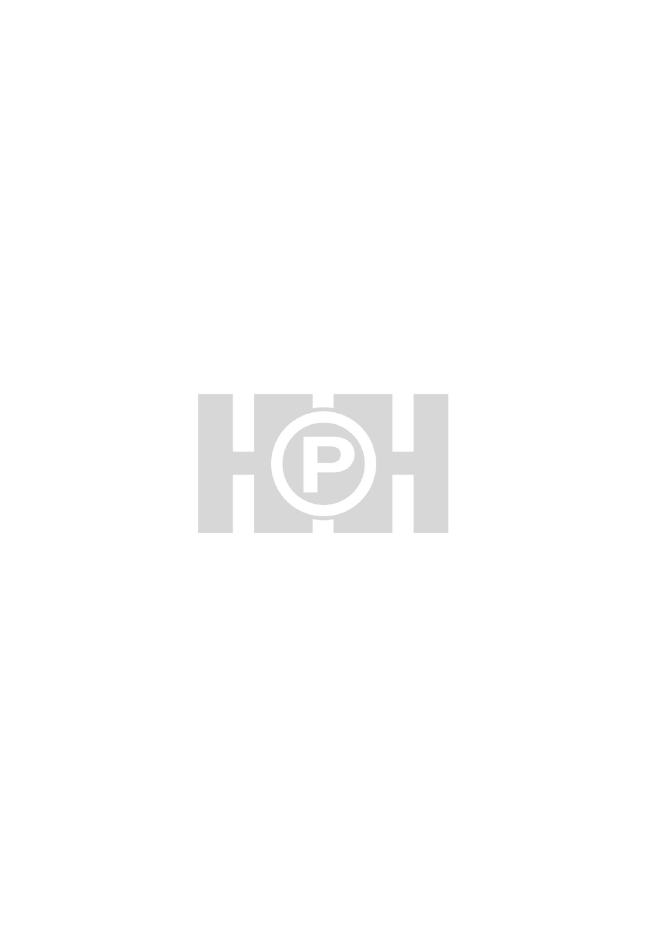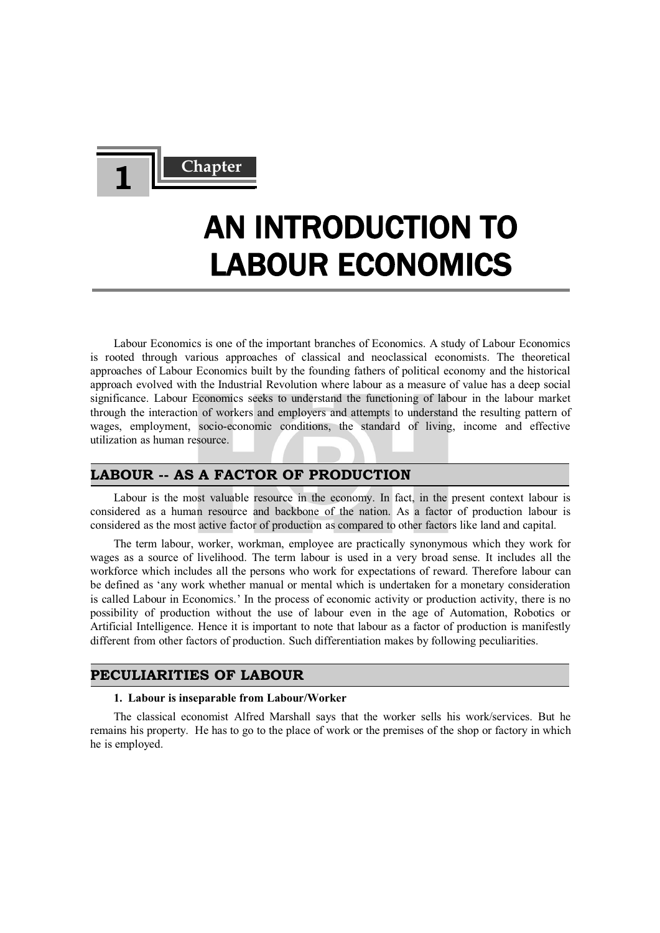

### **AN INTRODUCTION TO LABOUR ECONOMICS**

Labour Economics is one of the important branches of Economics. A study of Labour Economics is rooted through various approaches of classical and neoclassical economists. The theoretical approaches of Labour Economics built by the founding fathers of political economy and the historical approach evolved with the Industrial Revolution where labour as a measure of value has a deep social significance. Labour Economics seeks to understand the functioning of labour in the labour market through the interaction of workers and employers and attempts to understand the resulting pattern of wages, employment, socio-economic conditions, the standard of living, income and effective utilization as human resource.

#### **LABOUR -- AS A FACTOR OF PRODUCTION**

Labour is the most valuable resource in the economy. In fact, in the present context labour is considered as a human resource and backbone of the nation. As a factor of production labour is considered as the most active factor of production as compared to other factors like land and capital.

The term labour, worker, workman, employee are practically synonymous which they work for wages as a source of livelihood. The term labour is used in a very broad sense. It includes all the workforce which includes all the persons who work for expectations of reward. Therefore labour can be defined as 'any work whether manual or mental which is undertaken for a monetary consideration is called Labour in Economics.' In the process of economic activity or production activity, there is no possibility of production without the use of labour even in the age of Automation, Robotics or Artificial Intelligence. Hence it is important to note that labour as a factor of production is manifestly different from other factors of production. Such differentiation makes by following peculiarities.

#### **PECULIARITIES OF LABOUR**

#### **1. Labour is inseparable from Labour/Worker**

The classical economist Alfred Marshall says that the worker sells his work/services. But he remains his property. He has to go to the place of work or the premises of the shop or factory in which he is employed.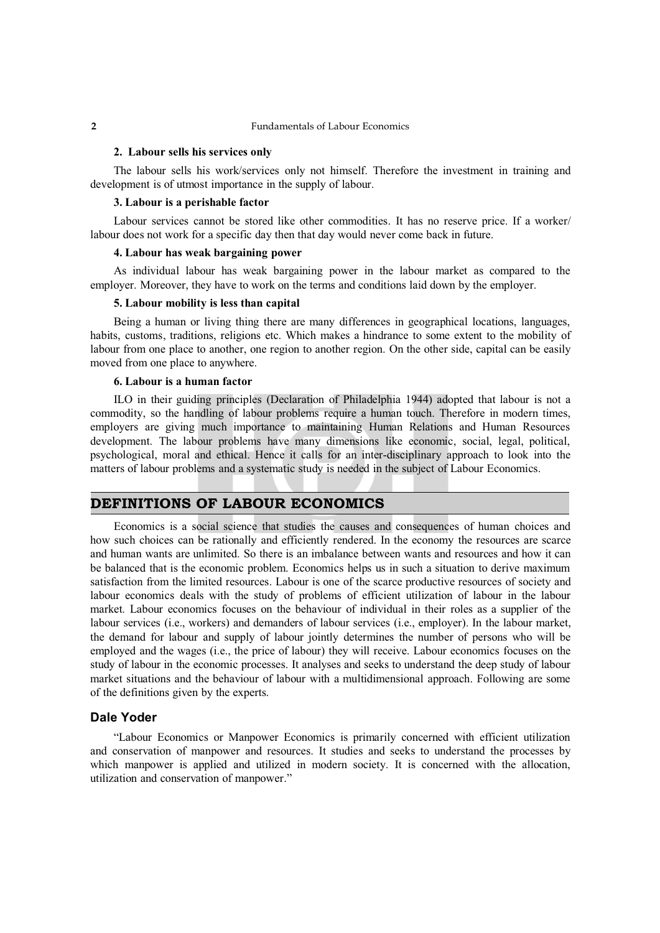#### **2. Labour sells his services only**

The labour sells his work/services only not himself. Therefore the investment in training and development is of utmost importance in the supply of labour.

#### **3. Labour is a perishable factor**

Labour services cannot be stored like other commodities. It has no reserve price. If a worker/ labour does not work for a specific day then that day would never come back in future.

#### **4. Labour has weak bargaining power**

As individual labour has weak bargaining power in the labour market as compared to the employer. Moreover, they have to work on the terms and conditions laid down by the employer.

#### **5. Labour mobility is less than capital**

Being a human or living thing there are many differences in geographical locations, languages, habits, customs, traditions, religions etc. Which makes a hindrance to some extent to the mobility of labour from one place to another, one region to another region. On the other side, capital can be easily moved from one place to anywhere.

#### **6. Labour is a human factor**

ILO in their guiding principles (Declaration of Philadelphia 1944) adopted that labour is not a commodity, so the handling of labour problems require a human touch. Therefore in modern times, employers are giving much importance to maintaining Human Relations and Human Resources development. The labour problems have many dimensions like economic, social, legal, political, psychological, moral and ethical. Hence it calls for an inter-disciplinary approach to look into the matters of labour problems and a systematic study is needed in the subject of Labour Economics.

#### **DEFINITIONS OF LABOUR ECONOMICS**

Economics is a social science that studies the causes and consequences of human choices and how such choices can be rationally and efficiently rendered. In the economy the resources are scarce and human wants are unlimited. So there is an imbalance between wants and resources and how it can be balanced that is the economic problem. Economics helps us in such a situation to derive maximum satisfaction from the limited resources. Labour is one of the scarce productive resources of society and labour economics deals with the study of problems of efficient utilization of labour in the labour market. Labour economics focuses on the behaviour of individual in their roles as a supplier of the labour services (i.e., workers) and demanders of labour services (i.e., employer). In the labour market, the demand for labour and supply of labour jointly determines the number of persons who will be employed and the wages (i.e., the price of labour) they will receive. Labour economics focuses on the study of labour in the economic processes. It analyses and seeks to understand the deep study of labour market situations and the behaviour of labour with a multidimensional approach. Following are some of the definitions given by the experts.

#### **Dale Yoder**

"Labour Economics or Manpower Economics is primarily concerned with efficient utilization and conservation of manpower and resources. It studies and seeks to understand the processes by which manpower is applied and utilized in modern society. It is concerned with the allocation, utilization and conservation of manpower."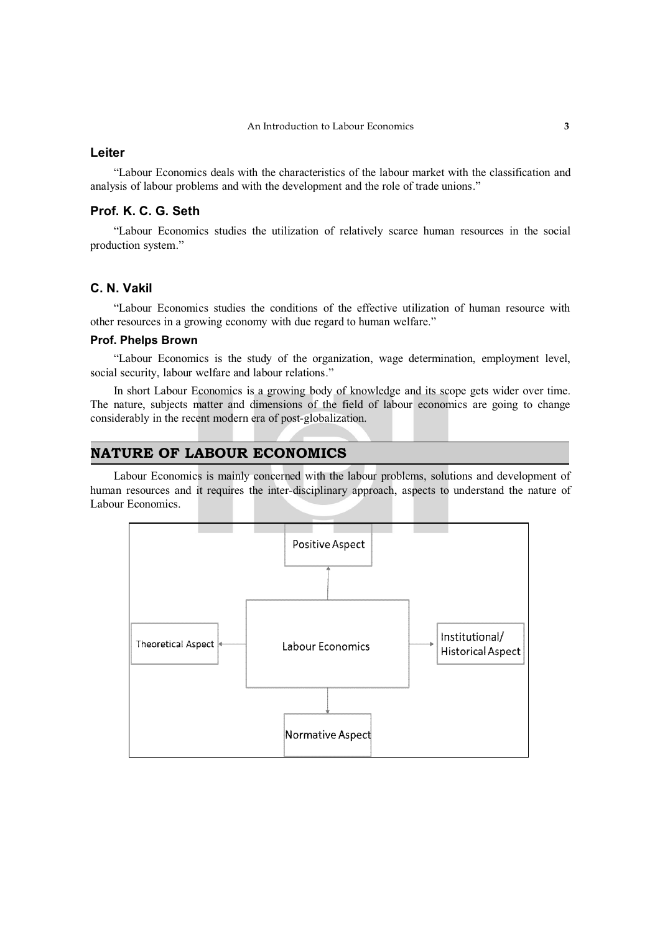#### **Leiter**

"Labour Economics deals with the characteristics of the labour market with the classification and analysis of labour problems and with the development and the role of trade unions."

#### **Prof. K. C. G. Seth**

"Labour Economics studies the utilization of relatively scarce human resources in the social production system."

#### **C. N. Vakil**

"Labour Economics studies the conditions of the effective utilization of human resource with other resources in a growing economy with due regard to human welfare."

#### **Prof. Phelps Brown**

"Labour Economics is the study of the organization, wage determination, employment level, social security, labour welfare and labour relations."

In short Labour Economics is a growing body of knowledge and its scope gets wider over time. The nature, subjects matter and dimensions of the field of labour economics are going to change considerably in the recent modern era of post-globalization.

#### **NATURE OF LABOUR ECONOMICS**

Labour Economics is mainly concerned with the labour problems, solutions and development of human resources and it requires the inter-disciplinary approach, aspects to understand the nature of Labour Economics.

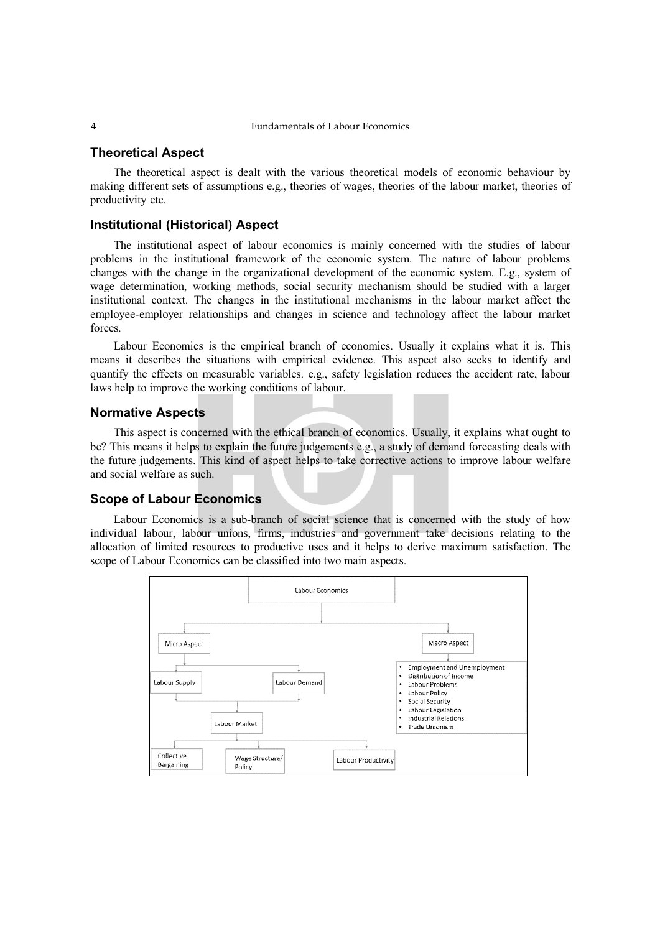#### **Theoretical Aspect**

The theoretical aspect is dealt with the various theoretical models of economic behaviour by making different sets of assumptions e.g., theories of wages, theories of the labour market, theories of productivity etc.

#### **Institutional (Historical) Aspect**

The institutional aspect of labour economics is mainly concerned with the studies of labour problems in the institutional framework of the economic system. The nature of labour problems changes with the change in the organizational development of the economic system. E.g., system of wage determination, working methods, social security mechanism should be studied with a larger institutional context. The changes in the institutional mechanisms in the labour market affect the employee-employer relationships and changes in science and technology affect the labour market forces.

Labour Economics is the empirical branch of economics. Usually it explains what it is. This means it describes the situations with empirical evidence. This aspect also seeks to identify and quantify the effects on measurable variables. e.g., safety legislation reduces the accident rate, labour laws help to improve the working conditions of labour.

#### **Normative Aspects**

This aspect is concerned with the ethical branch of economics. Usually, it explains what ought to be? This means it helps to explain the future judgements e.g., a study of demand forecasting deals with the future judgements. This kind of aspect helps to take corrective actions to improve labour welfare and social welfare as such.

#### **Scope of Labour Economics**

Labour Economics is a sub-branch of social science that is concerned with the study of how individual labour, labour unions, firms, industries and government take decisions relating to the allocation of limited resources to productive uses and it helps to derive maximum satisfaction. The scope of Labour Economics can be classified into two main aspects.

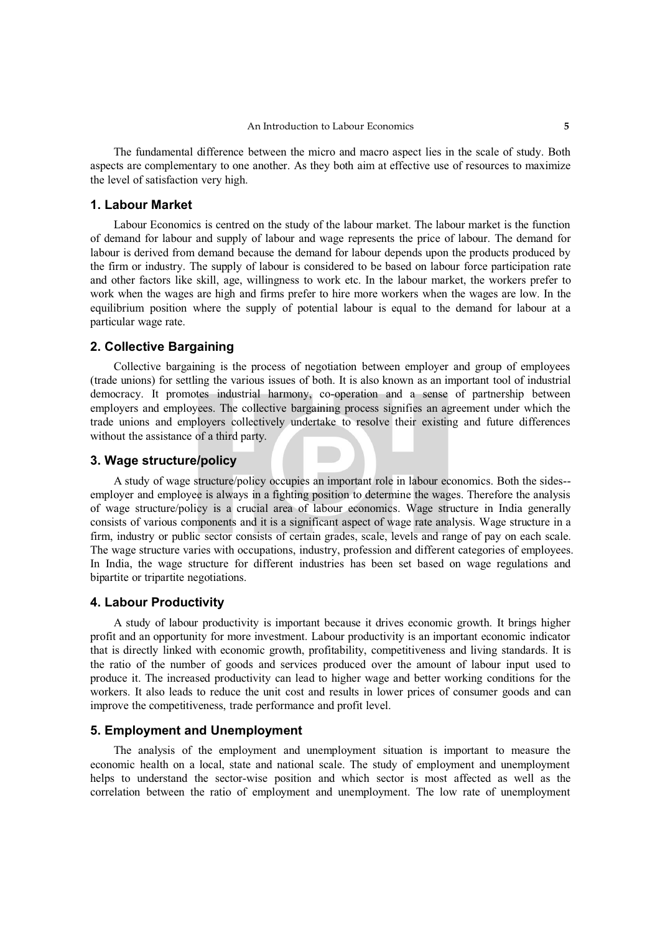The fundamental difference between the micro and macro aspect lies in the scale of study. Both aspects are complementary to one another. As they both aim at effective use of resources to maximize the level of satisfaction very high.

#### **1. Labour Market**

Labour Economics is centred on the study of the labour market. The labour market is the function of demand for labour and supply of labour and wage represents the price of labour. The demand for labour is derived from demand because the demand for labour depends upon the products produced by the firm or industry. The supply of labour is considered to be based on labour force participation rate and other factors like skill, age, willingness to work etc. In the labour market, the workers prefer to work when the wages are high and firms prefer to hire more workers when the wages are low. In the equilibrium position where the supply of potential labour is equal to the demand for labour at a particular wage rate.

#### **2. Collective Bargaining**

Collective bargaining is the process of negotiation between employer and group of employees (trade unions) for settling the various issues of both. It is also known as an important tool of industrial democracy. It promotes industrial harmony, co-operation and a sense of partnership between employers and employees. The collective bargaining process signifies an agreement under which the trade unions and employers collectively undertake to resolve their existing and future differences without the assistance of a third party.

#### **3. Wage structure/policy**

A study of wage structure/policy occupies an important role in labour economics. Both the sides- employer and employee is always in a fighting position to determine the wages. Therefore the analysis of wage structure/policy is a crucial area of labour economics. Wage structure in India generally consists of various components and it is a significant aspect of wage rate analysis. Wage structure in a firm, industry or public sector consists of certain grades, scale, levels and range of pay on each scale. The wage structure varies with occupations, industry, profession and different categories of employees. In India, the wage structure for different industries has been set based on wage regulations and bipartite or tripartite negotiations.

#### **4. Labour Productivity**

A study of labour productivity is important because it drives economic growth. It brings higher profit and an opportunity for more investment. Labour productivity is an important economic indicator that is directly linked with economic growth, profitability, competitiveness and living standards. It is the ratio of the number of goods and services produced over the amount of labour input used to produce it. The increased productivity can lead to higher wage and better working conditions for the workers. It also leads to reduce the unit cost and results in lower prices of consumer goods and can improve the competitiveness, trade performance and profit level.

#### **5. Employment and Unemployment**

The analysis of the employment and unemployment situation is important to measure the economic health on a local, state and national scale. The study of employment and unemployment helps to understand the sector-wise position and which sector is most affected as well as the correlation between the ratio of employment and unemployment. The low rate of unemployment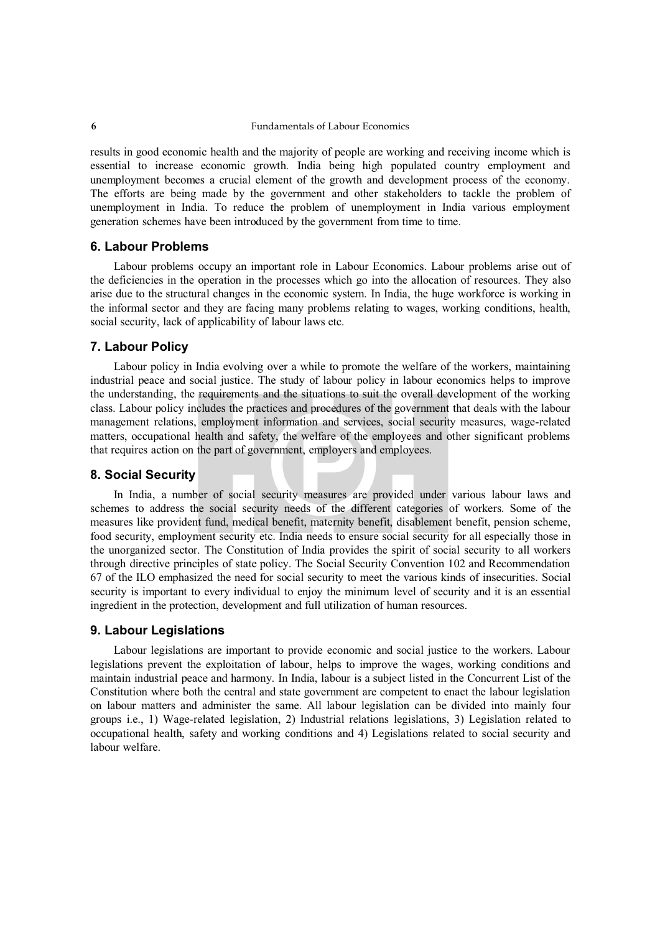results in good economic health and the majority of people are working and receiving income which is essential to increase economic growth. India being high populated country employment and unemployment becomes a crucial element of the growth and development process of the economy. The efforts are being made by the government and other stakeholders to tackle the problem of unemployment in India. To reduce the problem of unemployment in India various employment generation schemes have been introduced by the government from time to time.

#### **6. Labour Problems**

Labour problems occupy an important role in Labour Economics. Labour problems arise out of the deficiencies in the operation in the processes which go into the allocation of resources. They also arise due to the structural changes in the economic system. In India, the huge workforce is working in the informal sector and they are facing many problems relating to wages, working conditions, health, social security, lack of applicability of labour laws etc.

#### **7. Labour Policy**

Labour policy in India evolving over a while to promote the welfare of the workers, maintaining industrial peace and social justice. The study of labour policy in labour economics helps to improve the understanding, the requirements and the situations to suit the overall development of the working class. Labour policy includes the practices and procedures of the government that deals with the labour management relations, employment information and services, social security measures, wage-related matters, occupational health and safety, the welfare of the employees and other significant problems that requires action on the part of government, employers and employees.

#### **8. Social Security**

In India, a number of social security measures are provided under various labour laws and schemes to address the social security needs of the different categories of workers. Some of the measures like provident fund, medical benefit, maternity benefit, disablement benefit, pension scheme, food security, employment security etc. India needs to ensure social security for all especially those in the unorganized sector. The Constitution of India provides the spirit of social security to all workers through directive principles of state policy. The Social Security Convention 102 and Recommendation 67 of the ILO emphasized the need for social security to meet the various kinds of insecurities. Social security is important to every individual to enjoy the minimum level of security and it is an essential ingredient in the protection, development and full utilization of human resources.

#### **9. Labour Legislations**

Labour legislations are important to provide economic and social justice to the workers. Labour legislations prevent the exploitation of labour, helps to improve the wages, working conditions and maintain industrial peace and harmony. In India, labour is a subject listed in the Concurrent List of the Constitution where both the central and state government are competent to enact the labour legislation on labour matters and administer the same. All labour legislation can be divided into mainly four groups i.e., 1) Wage-related legislation, 2) Industrial relations legislations, 3) Legislation related to occupational health, safety and working conditions and 4) Legislations related to social security and labour welfare.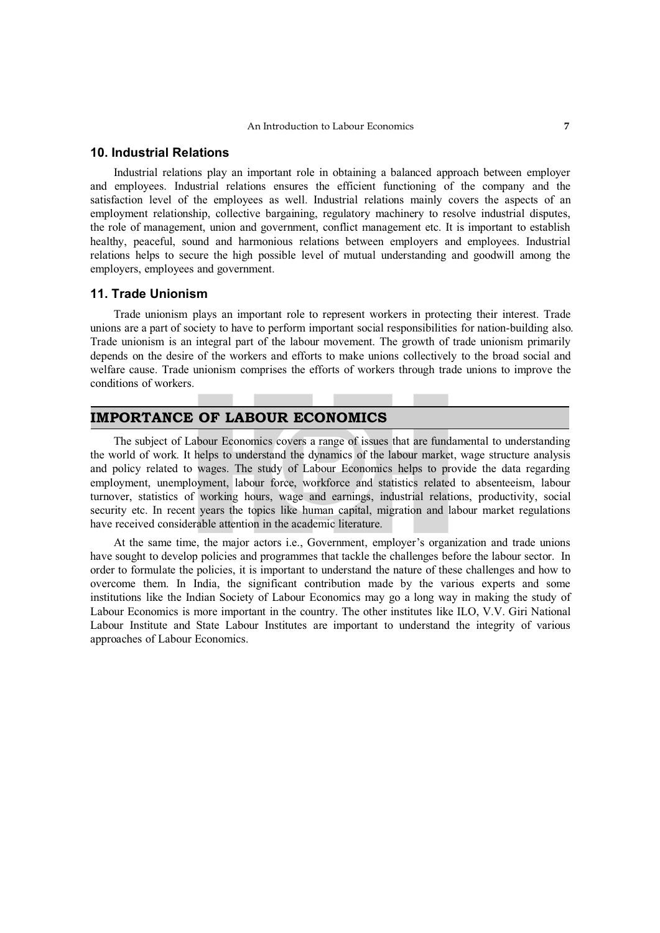#### **10. Industrial Relations**

Industrial relations play an important role in obtaining a balanced approach between employer and employees. Industrial relations ensures the efficient functioning of the company and the satisfaction level of the employees as well. Industrial relations mainly covers the aspects of an employment relationship, collective bargaining, regulatory machinery to resolve industrial disputes, the role of management, union and government, conflict management etc. It is important to establish healthy, peaceful, sound and harmonious relations between employers and employees. Industrial relations helps to secure the high possible level of mutual understanding and goodwill among the employers, employees and government.

#### **11. Trade Unionism**

Trade unionism plays an important role to represent workers in protecting their interest. Trade unions are a part of society to have to perform important social responsibilities for nation-building also. Trade unionism is an integral part of the labour movement. The growth of trade unionism primarily depends on the desire of the workers and efforts to make unions collectively to the broad social and welfare cause. Trade unionism comprises the efforts of workers through trade unions to improve the conditions of workers.

#### **IMPORTANCE OF LABOUR ECONOMICS**

The subject of Labour Economics covers a range of issues that are fundamental to understanding the world of work. It helps to understand the dynamics of the labour market, wage structure analysis and policy related to wages. The study of Labour Economics helps to provide the data regarding employment, unemployment, labour force, workforce and statistics related to absenteeism, labour turnover, statistics of working hours, wage and earnings, industrial relations, productivity, social security etc. In recent years the topics like human capital, migration and labour market regulations have received considerable attention in the academic literature.

At the same time, the major actors i.e., Government, employer's organization and trade unions have sought to develop policies and programmes that tackle the challenges before the labour sector. In order to formulate the policies, it is important to understand the nature of these challenges and how to overcome them. In India, the significant contribution made by the various experts and some institutions like the Indian Society of Labour Economics may go a long way in making the study of Labour Economics is more important in the country. The other institutes like ILO, V.V. Giri National Labour Institute and State Labour Institutes are important to understand the integrity of various approaches of Labour Economics.